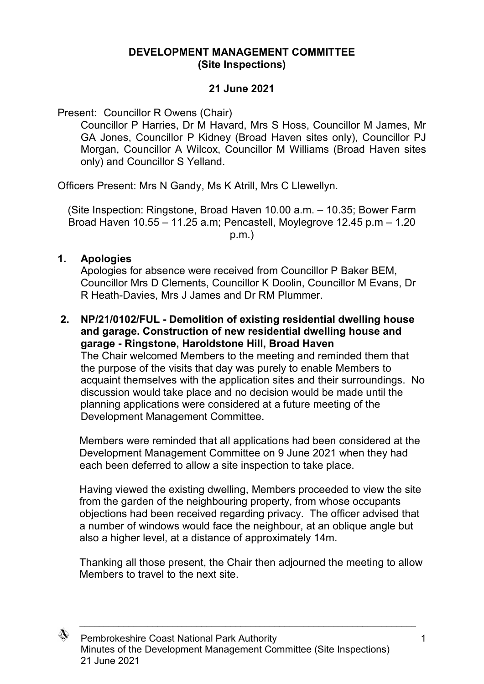## **DEVELOPMENT MANAGEMENT COMMITTEE (Site Inspections)**

## **21 June 2021**

Present: Councillor R Owens (Chair)

Councillor P Harries, Dr M Havard, Mrs S Hoss, Councillor M James, Mr GA Jones, Councillor P Kidney (Broad Haven sites only), Councillor PJ Morgan, Councillor A Wilcox, Councillor M Williams (Broad Haven sites only) and Councillor S Yelland.

Officers Present: Mrs N Gandy, Ms K Atrill, Mrs C Llewellyn.

(Site Inspection: Ringstone, Broad Haven 10.00 a.m. – 10.35; Bower Farm Broad Haven 10.55 – 11.25 a.m; Pencastell, Moylegrove 12.45 p.m – 1.20 p.m.)

## **1. Apologies**

Apologies for absence were received from Councillor P Baker BEM, Councillor Mrs D Clements, Councillor K Doolin, Councillor M Evans, Dr R Heath-Davies, Mrs J James and Dr RM Plummer.

**2. NP/21/0102/FUL - Demolition of existing residential dwelling house and garage. Construction of new residential dwelling house and garage - Ringstone, Haroldstone Hill, Broad Haven** The Chair welcomed Members to the meeting and reminded them that the purpose of the visits that day was purely to enable Members to acquaint themselves with the application sites and their surroundings. No discussion would take place and no decision would be made until the planning applications were considered at a future meeting of the Development Management Committee.

Members were reminded that all applications had been considered at the Development Management Committee on 9 June 2021 when they had each been deferred to allow a site inspection to take place.

Having viewed the existing dwelling, Members proceeded to view the site from the garden of the neighbouring property, from whose occupants objections had been received regarding privacy. The officer advised that a number of windows would face the neighbour, at an oblique angle but also a higher level, at a distance of approximately 14m.

Thanking all those present, the Chair then adjourned the meeting to allow Members to travel to the next site.